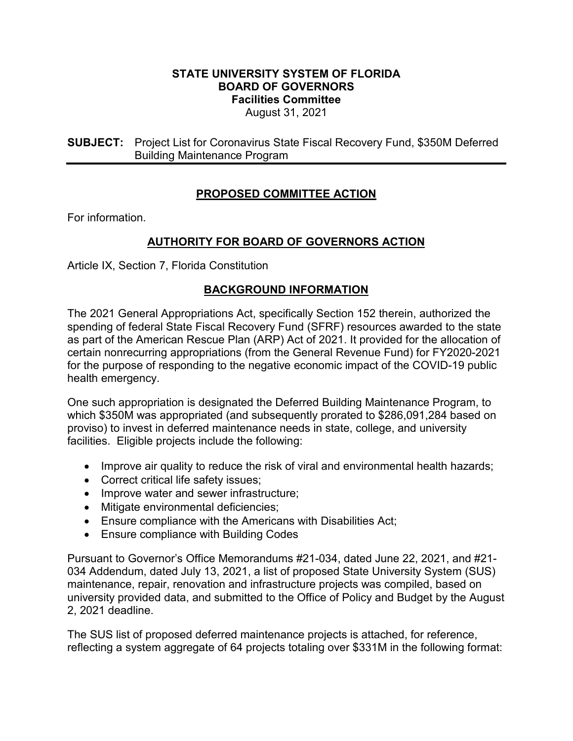## **STATE UNIVERSITY SYSTEM OF FLORIDA BOARD OF GOVERNORS Facilities Committee** August 31, 2021

**SUBJECT:** Project List for Coronavirus State Fiscal Recovery Fund, \$350M Deferred Building Maintenance Program

## **PROPOSED COMMITTEE ACTION**

For information.

## **AUTHORITY FOR BOARD OF GOVERNORS ACTION**

Article IX, Section 7, Florida Constitution

## **BACKGROUND INFORMATION**

The 2021 General Appropriations Act, specifically Section 152 therein, authorized the spending of federal State Fiscal Recovery Fund (SFRF) resources awarded to the state as part of the American Rescue Plan (ARP) Act of 2021. It provided for the allocation of certain nonrecurring appropriations (from the General Revenue Fund) for FY2020-2021 for the purpose of responding to the negative economic impact of the COVID-19 public health emergency.

One such appropriation is designated the Deferred Building Maintenance Program, to which \$350M was appropriated (and subsequently prorated to \$286,091,284 based on proviso) to invest in deferred maintenance needs in state, college, and university facilities. Eligible projects include the following:

- Improve air quality to reduce the risk of viral and environmental health hazards;
- Correct critical life safety issues;
- Improve water and sewer infrastructure;
- Mitigate environmental deficiencies;
- Ensure compliance with the Americans with Disabilities Act;
- Ensure compliance with Building Codes

Pursuant to Governor's Office Memorandums #21-034, dated June 22, 2021, and #21- 034 Addendum, dated July 13, 2021, a list of proposed State University System (SUS) maintenance, repair, renovation and infrastructure projects was compiled, based on university provided data, and submitted to the Office of Policy and Budget by the August 2, 2021 deadline.

The SUS list of proposed deferred maintenance projects is attached, for reference, reflecting a system aggregate of 64 projects totaling over \$331M in the following format: